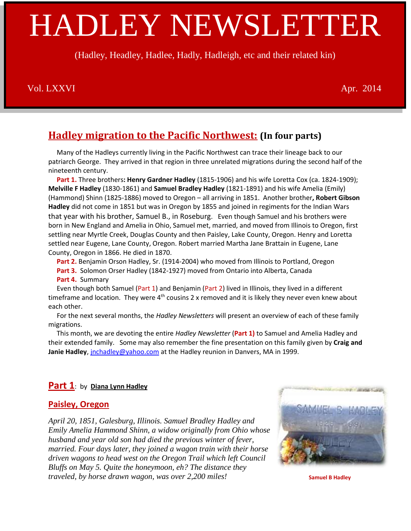# HADLEY NEWSLETTER

(Hadley, Headley, Hadlee, Hadly, Hadleigh, etc and their related kin)

### Vol. LXXVI and the contract of the contract of the contract of the contract of the contract of the contract of the contract of the contract of the contract of the contract of the contract of the contract of the contract of

## **Hadley migration to the Pacific Northwest: (In four parts)**

 Many of the Hadleys currently living in the Pacific Northwest can trace their lineage back to our patriarch George. They arrived in that region in three unrelated migrations during the second half of the nineteenth century.

 **Part 1.** Three brothers**: Henry Gardner Hadley** (1815-1906) and his wife Loretta Cox (ca. 1824-1909); **Melville F Hadley** (1830-1861) and **Samuel Bradley Hadley** (1821-1891) and his wife Amelia (Emily) (Hammond) Shinn (1825-1886) moved to Oregon – all arriving in 1851. Another brother**, Robert Gibson Hadley** did not come in 1851 but was in Oregon by 1855 and joined in regiments for the Indian Wars that year with his brother, Samuel B., in Roseburg. Even though Samuel and his brothers were born in New England and Amelia in Ohio, Samuel met, married, and moved from Illinois to Oregon, first settling near Myrtle Creek, Douglas County and then Paisley, Lake County, Oregon. Henry and Loretta settled near Eugene, Lane County, Oregon. Robert married Martha Jane Brattain in Eugene, Lane County, Oregon in 1866. He died in 1870.

 **Part 2.** Benjamin Orson Hadley, Sr. (1914-2004) who moved from Illinois to Portland, Oregon  **Part 3.** Solomon Orser Hadley (1842-1927) moved from Ontario into Alberta, Canada  **Part 4.** Summary

 Even though both Samuel (Part 1) and Benjamin (Part 2) lived in Illinois, they lived in a different timeframe and location. They were  $4<sup>th</sup>$  cousins 2 x removed and it is likely they never even knew about each other.

 For the next several months, the *Hadley Newsletters* will present an overview of each of these family migrations.

 This month, we are devoting the entire *Hadley Newsletter* (**Part 1)** to Samuel and Amelia Hadley and their extended family. Some may also remember the fine presentation on this family given by **Craig and Janie Hadley**[, jnchadley@yahoo.com](mailto:jnchadley@yahoo.com) at the Hadley reunion in Danvers, MA in 1999.

#### **Part 1**: by **Diana Lynn Hadley**

#### **Paisley, Oregon**

*April 20, 1851, Galesburg, Illinois. Samuel Bradley Hadley and Emily Amelia Hammond Shinn, a widow originally from Ohio whose husband and year old son had died the previous winter of fever, married. Four days later, they joined a wagon train with their horse driven wagons to head west on the Oregon Trail which left Council Bluffs on May 5. Quite the honeymoon, eh? The distance they traveled, by horse drawn wagon, was over 2,200 miles!* 



 **Samuel B Hadley**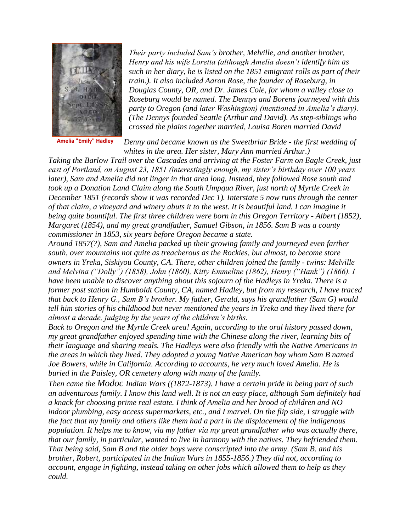

**Amelia "Emily" Hadley**

*Their party included Sam's brother, Melville, and another brother, Henry and his wife Loretta (although Amelia doesn't identify him as such in her diary, he is listed on the 1851 emigrant rolls as part of their train.). It also included Aaron Rose, the founder of Roseburg, in Douglas County, OR, and Dr. James Cole, for whom a valley close to Roseburg would be named. The Dennys and Borens journeyed with this party to Oregon (and later Washington) (mentioned in Amelia's diary). (The Dennys founded Seattle (Arthur and David). As step-siblings who crossed the plains together married, Louisa Boren married David* 

*Denny and became known as the Sweetbriar Bride - the first wedding of whites in the area. Her sister, Mary Ann married Arthur.)*

*Taking the Barlow Trail over the Cascades and arriving at the Foster Farm on Eagle Creek, just east of Portland, on August 23, 1851 (interestingly enough, my sister's birthday over 100 years later), Sam and Amelia did not linger in that area long. Instead, they followed Rose south and took up a Donation Land Claim along the South Umpqua River, just north of Myrtle Creek in December 1851 (records show it was recorded Dec 1). Interstate 5 now runs through the center of that claim, a vineyard and winery abuts it to the west. It is beautiful land. I can imagine it being quite bountiful. The first three children were born in this Oregon Territory - Albert (1852), Margaret (1854), and my great grandfather, Samuel Gibson, in 1856. Sam B was a county commissioner in 1853, six years before Oregon became a state.*

*Around 1857(?), Sam and Amelia packed up their growing family and journeyed even farther south, over mountains not quite as treacherous as the Rockies, but almost, to become store owners in Yreka, Siskiyou County, CA. There, other children joined the family - twins: Melville and Melvina ("Dolly") (1858), John (1860), Kitty Emmeline (1862), Henry ("Hank") (1866). I have been unable to discover anything about this sojourn of the Hadleys in Yreka. There is a former post station in Humboldt County, CA, named Hadley, but from my research, I have traced that back to Henry G., Sam B's brother. My father, Gerald, says his grandfather (Sam G) would tell him stories of his childhood but never mentioned the years in Yreka and they lived there for almost a decade, judging by the years of the children's births.*

*Back to Oregon and the Myrtle Creek area! Again, according to the oral history passed down, my great grandfather enjoyed spending time with the Chinese along the river, learning bits of their language and sharing meals. The Hadleys were also friendly with the Native Americans in the areas in which they lived. They adopted a young Native American boy whom Sam B named Joe Bowers, while in California. According to accounts, he very much loved Amelia. He is buried in the Paisley, OR cemetery along with many of the family.*

*Then came the Modoc Indian Wars ((1872-1873). I have a certain pride in being part of such an adventurous family. I know this land well. It is not an easy place, although Sam definitely had a knack for choosing prime real estate. I think of Amelia and her brood of children and NO indoor plumbing, easy access supermarkets, etc., and I marvel. On the flip side, I struggle with the fact that my family and others like them had a part in the displacement of the indigenous population. It helps me to know, via my father via my great grandfather who was actually there, that our family, in particular, wanted to live in harmony with the natives. They befriended them. That being said, Sam B and the older boys were conscripted into the army. (Sam B. and his brother, Robert, participated in the Indian Wars in 1855-1856.) They did not, according to account, engage in fighting, instead taking on other jobs which allowed them to help as they could.*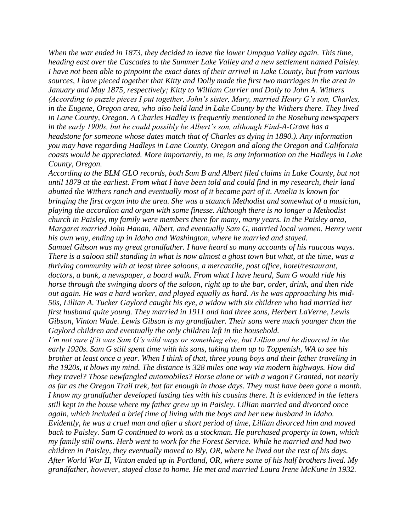*When the war ended in 1873, they decided to leave the lower Umpqua Valley again. This time, heading east over the Cascades to the Summer Lake Valley and a new settlement named Paisley. I have not been able to pinpoint the exact dates of their arrival in Lake County, but from various sources, I have pieced together that Kitty and Dolly made the first two marriages in the area in January and May 1875, respectively; Kitty to William Currier and Dolly to John A. Withers (According to puzzle pieces I put together, John's sister, Mary, married Henry G's son, Charles, in the Eugene, Oregon area, who also held land in Lake County by the Withers there. They lived in Lane County, Oregon. A Charles Hadley is frequently mentioned in the Roseburg newspapers in the early 1900s, but he could possibly be Albert's son, although Find-A-Grave has a headstone for someone whose dates match that of Charles as dying in 1890.). Any information you may have regarding Hadleys in Lane County, Oregon and along the Oregon and California coasts would be appreciated. More importantly, to me, is any information on the Hadleys in Lake County, Oregon.*

*According to the BLM GLO records, both Sam B and Albert filed claims in Lake County, but not until 1879 at the earliest. From what I have been told and could find in my research, their land abutted the Withers ranch and eventually most of it became part of it. Amelia is known for bringing the first organ into the area. She was a staunch Methodist and somewhat of a musician, playing the accordion and organ with some finesse. Although there is no longer a Methodist church in Paisley, my family were members there for many, many years. In the Paisley area, Margaret married John Hanan, Albert, and eventually Sam G, married local women. Henry went his own way, ending up in Idaho and Washington, where he married and stayed.*

*Samuel Gibson was my great grandfather. I have heard so many accounts of his raucous ways. There is a saloon still standing in what is now almost a ghost town but what, at the time, was a thriving community with at least three saloons, a mercantile, post office, hotel/restaurant, doctors, a bank, a newspaper, a board walk. From what I have heard, Sam G would ride his horse through the swinging doors of the saloon, right up to the bar, order, drink, and then ride out again. He was a hard worker, and played equally as hard. As he was approaching his mid-50s, Lillian A. Tucker Gaylord caught his eye, a widow with six children who had married her first husband quite young. They married in 1911 and had three sons, Herbert LaVerne, Lewis Gibson, Vinton Wade. Lewis Gibson is my grandfather. Their sons were much younger than the Gaylord children and eventually the only children left in the household.*

*I'm not sure if it was Sam G's wild ways or something else, but Lillian and he divorced in the early 1920s. Sam G still spent time with his sons, taking them up to Toppenish, WA to see his brother at least once a year. When I think of that, three young boys and their father traveling in the 1920s, it blows my mind. The distance is 328 miles one way via modern highways. How did they travel? Those newfangled automobiles? Horse alone or with a wagon? Granted, not nearly as far as the Oregon Trail trek, but far enough in those days. They must have been gone a month. I know my grandfather developed lasting ties with his cousins there. It is evidenced in the letters still kept in the house where my father grew up in Paisley. Lillian married and divorced once again, which included a brief time of living with the boys and her new husband in Idaho. Evidently, he was a cruel man and after a short period of time, Lillian divorced him and moved back to Paisley. Sam G continued to work as a stockman. He purchased property in town, which my family still owns. Herb went to work for the Forest Service. While he married and had two children in Paisley, they eventually moved to Bly, OR, where he lived out the rest of his days. After World War II, Vinton ended up in Portland, OR, where some of his half brothers lived. My grandfather, however, stayed close to home. He met and married Laura Irene McKune in 1932.*